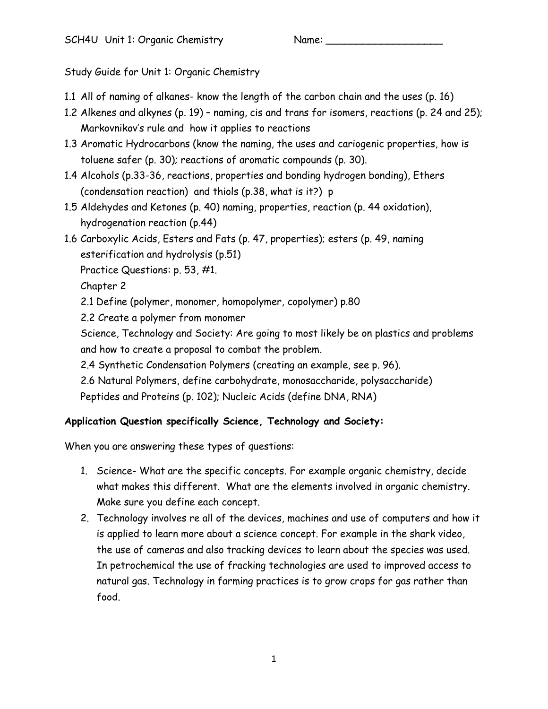Study Guide for Unit 1: Organic Chemistry

- 1.1 All of naming of alkanes- know the length of the carbon chain and the uses (p. 16)
- 1.2 Alkenes and alkynes (p. 19) naming, cis and trans for isomers, reactions (p. 24 and 25); Markovnikov's rule and how it applies to reactions
- 1.3 Aromatic Hydrocarbons (know the naming, the uses and cariogenic properties, how is toluene safer (p. 30); reactions of aromatic compounds (p. 30).
- 1.4 Alcohols (p.33-36, reactions, properties and bonding hydrogen bonding), Ethers (condensation reaction) and thiols (p.38, what is it?) p
- 1.5 Aldehydes and Ketones (p. 40) naming, properties, reaction (p. 44 oxidation), hydrogenation reaction (p.44)
- 1.6 Carboxylic Acids, Esters and Fats (p. 47, properties); esters (p. 49, naming esterification and hydrolysis (p.51)
	- Practice Questions: p. 53, #1.

Chapter 2

- 2.1 Define (polymer, monomer, homopolymer, copolymer) p.80
- 2.2 Create a polymer from monomer

Science, Technology and Society: Are going to most likely be on plastics and problems and how to create a proposal to combat the problem.

- 2.4 Synthetic Condensation Polymers (creating an example, see p. 96).
- 2.6 Natural Polymers, define carbohydrate, monosaccharide, polysaccharide)

Peptides and Proteins (p. 102); Nucleic Acids (define DNA, RNA)

## **Application Question specifically Science, Technology and Society:**

When you are answering these types of questions:

- 1. Science- What are the specific concepts. For example organic chemistry, decide what makes this different. What are the elements involved in organic chemistry. Make sure you define each concept.
- 2. Technology involves re all of the devices, machines and use of computers and how it is applied to learn more about a science concept. For example in the shark video, the use of cameras and also tracking devices to learn about the species was used. In petrochemical the use of fracking technologies are used to improved access to natural gas. Technology in farming practices is to grow crops for gas rather than food.